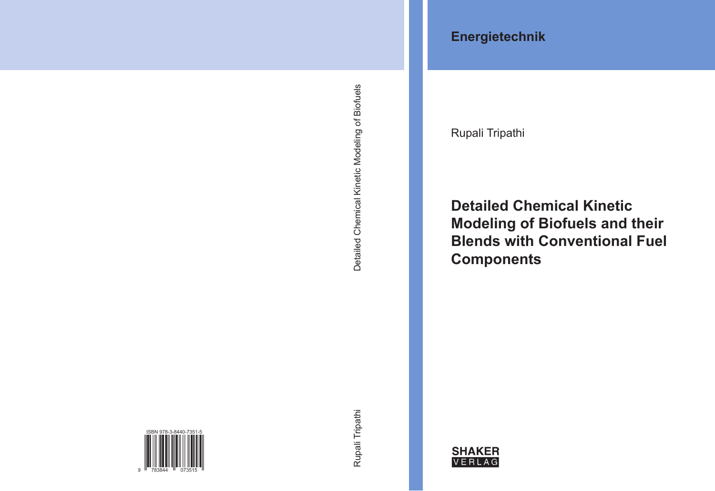**Energietechnik**

Rupali Tripathi

# **Detailed Chemical Kinetic Modeling of Biofuels and their Blends with Conventional Fuel Components**

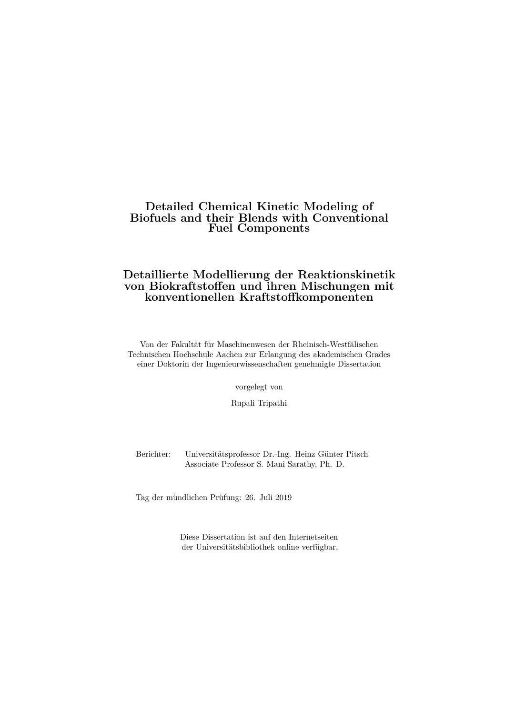## **Detailed Chemical Kinetic Modeling of Biofuels and their Blends with Conventional Fuel Components**

## **Detaillierte Modellierung der Reaktionskinetik von Biokraftstoffen und ihren Mischungen mit konventionellen Kraftstoffkomponenten**

Von der Fakultät für Maschinenwesen der Rheinisch-Westfälischen Technischen Hochschule Aachen zur Erlangung des akademischen Grades einer Doktorin der Ingenieurwissenschaften genehmigte Dissertation

vorgelegt von

Rupali Tripathi

Berichter: Universitätsprofessor Dr.-Ing. Heinz Günter Pitsch Associate Professor S. Mani Sarathy, Ph. D.

Tag der mündlichen Prüfung: 26. Juli 2019

Diese Dissertation ist auf den Internetseiten der Universitätsbibliothek online verfügbar.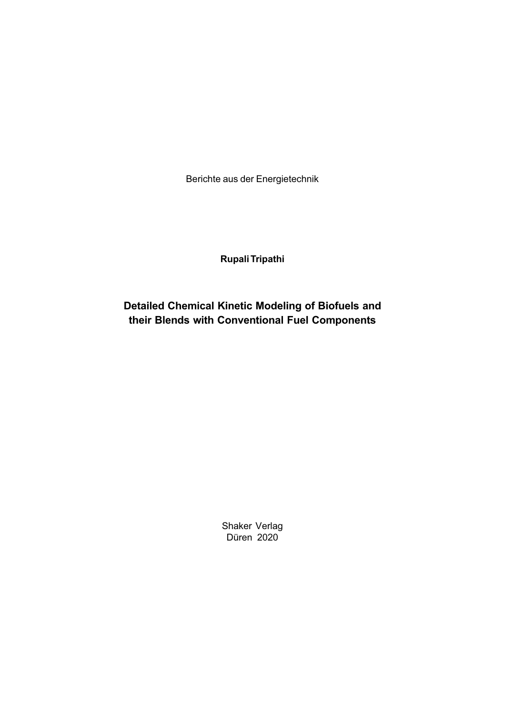Berichte aus der Energietechnik

**Rupali Tripathi**

**Detailed Chemical Kinetic Modeling of Biofuels and their Blends with Conventional Fuel Components**

> Shaker Verlag Düren 2020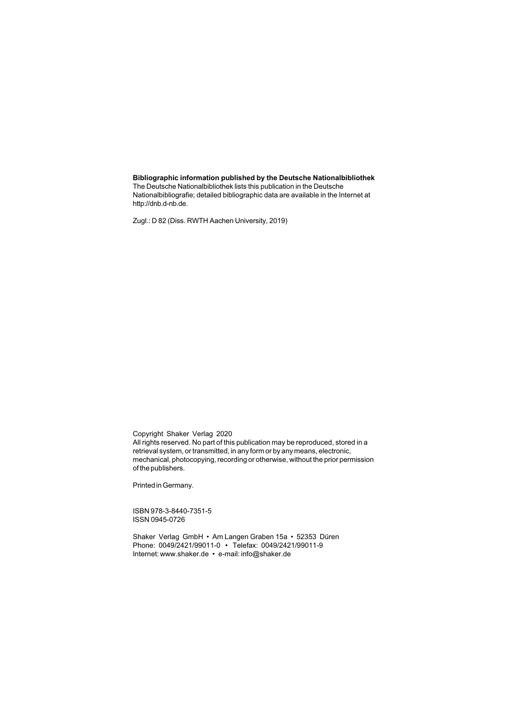#### **Bibliographic information published by the Deutsche Nationalbibliothek**

The Deutsche Nationalbibliothek lists this publication in the Deutsche Nationalbibliografie; detailed bibliographic data are available in the Internet at http://dnb.d-nb.de.

Zugl.: D 82 (Diss. RWTH Aachen University, 2019)

Copyright Shaker Verlag 2020 All rights reserved. No part of this publication may be reproduced, stored in a retrieval system, or transmitted, in any form or by any means, electronic, mechanical, photocopying, recording or otherwise, without the prior permission of the publishers.

Printed in Germany.

ISBN 978-3-8440-7351-5 ISSN 0945-0726

Shaker Verlag GmbH • Am Langen Graben 15a • 52353 Düren Phone: 0049/2421/99011-0 • Telefax: 0049/2421/99011-9 Internet: www.shaker.de • e-mail: info@shaker.de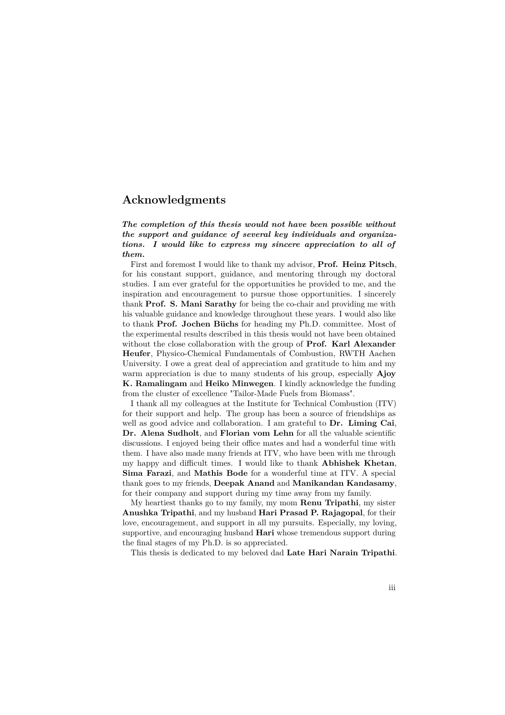## **Acknowledgments**

#### *The completion of this thesis would not have been possible without the support and guidance of several key individuals and organizations. I would like to express my sincere appreciation to all of them.*

First and foremost I would like to thank my advisor, **Prof. Heinz Pitsch**, for his constant support, guidance, and mentoring through my doctoral studies. I am ever grateful for the opportunities he provided to me, and the inspiration and encouragement to pursue those opportunities. I sincerely thank **Prof. S. Mani Sarathy** for being the co-chair and providing me with his valuable guidance and knowledge throughout these years. I would also like to thank **Prof. Jochen Büchs** for heading my Ph.D. committee. Most of the experimental results described in this thesis would not have been obtained without the close collaboration with the group of **Prof. Karl Alexander Heufer**, Physico-Chemical Fundamentals of Combustion, RWTH Aachen University. I owe a great deal of appreciation and gratitude to him and my warm appreciation is due to many students of his group, especially **Ajoy K. Ramalingam** and **Heiko Minwegen**. I kindly acknowledge the funding from the cluster of excellence "Tailor-Made Fuels from Biomass".

I thank all my colleagues at the Institute for Technical Combustion (ITV) for their support and help. The group has been a source of friendships as well as good advice and collaboration. I am grateful to **Dr. Liming Cai**, **Dr. Alena Sudholt**, and **Florian vom Lehn** for all the valuable scientific discussions. I enjoyed being their office mates and had a wonderful time with them. I have also made many friends at ITV, who have been with me through my happy and difficult times. I would like to thank **Abhishek Khetan**, **Sima Farazi**, and **Mathis Bode** for a wonderful time at ITV. A special thank goes to my friends, **Deepak Anand** and **Manikandan Kandasamy**, for their company and support during my time away from my family.

My heartiest thanks go to my family, my mom **Renu Tripathi**, my sister **Anushka Tripathi**, and my husband **Hari Prasad P. Rajagopal**, for their love, encouragement, and support in all my pursuits. Especially, my loving, supportive, and encouraging husband **Hari** whose tremendous support during the final stages of my Ph.D. is so appreciated.

This thesis is dedicated to my beloved dad **Late Hari Narain Tripathi**.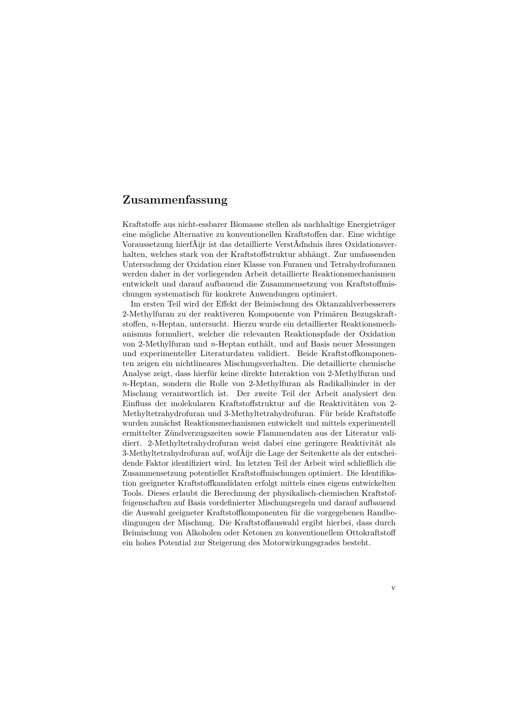## **Zusammenfassung**

Kraftstoffe aus nicht-essbarer Biomasse stellen als nachhaltige Energieträger eine mögliche Alternative zu konventionellen Kraftstoffen dar. Eine wichtige Voraussetzung hierfÃijr ist das detaillierte VerstÃďndnis ihres Oxidationsverhalten, welches stark von der Kraftstoffstruktur abhängt. Zur umfassenden Untersuchung der Oxidation einer Klasse von Furanen und Tetrahydrofuranen werden daher in der vorliegenden Arbeit detaillierte Reaktionsmechanismen entwickelt und darauf aufbauend die Zusammensetzung von Kraftstoffmischungen systematisch für konkrete Anwendungen optimiert.

Im ersten Teil wird der Effekt der Beimischung des Oktanzahlverbesserers 2-Methylfuran zu der reaktiveren Komponente von Primären Bezugskraftstoffen, *n*-Heptan, untersucht. Hierzu wurde ein detaillierter Reaktionsmechanismus formuliert, welcher die relevanten Reaktionspfade der Oxidation von 2-Methylfuran und *n*-Heptan enthält, und auf Basis neuer Messungen und experimenteller Literaturdaten validiert. Beide Kraftstoffkomponenten zeigen ein nichtlineares Mischungsverhalten. Die detaillierte chemische Analyse zeigt, dass hierfür keine direkte Interaktion von 2-Methylfuran und *n*-Heptan, sondern die Rolle von 2-Methylfuran als Radikalbinder in der Mischung verantwortlich ist. Der zweite Teil der Arbeit analysiert den Einfluss der molekularen Kraftstoffstruktur auf die Reaktivitäten von 2- Methyltetrahydrofuran und 3-Methyltetrahydrofuran. Für beide Kraftstoffe wurden zunächst Reaktionsmechanismen entwickelt und mittels experimentell ermittelter Zündverzugszeiten sowie Flammendaten aus der Literatur validiert. 2-Methyltetrahydrofuran weist dabei eine geringere Reaktivität als 3-Methyltetrahydrofuran auf, wofÃijr die Lage der Seitenkette als der entscheidende Faktor identifiziert wird. Im letzten Teil der Arbeit wird schließlich die Zusammensetzung potentieller Kraftstoffmischungen optimiert. Die Identifikation geeigneter Kraftstoffkandidaten erfolgt mittels eines eigens entwickelten Tools. Dieses erlaubt die Berechnung der physikalisch-chemischen Kraftstoffeigenschaften auf Basis vordefinierter Mischungsregeln und darauf aufbauend die Auswahl geeigneter Kraftstoffkomponenten für die vorgegebenen Randbedingungen der Mischung. Die Kraftstoffauswahl ergibt hierbei, dass durch Beimischung von Alkoholen oder Ketonen zu konventionellem Ottokraftstoff ein hohes Potential zur Steigerung des Motorwirkungsgrades besteht.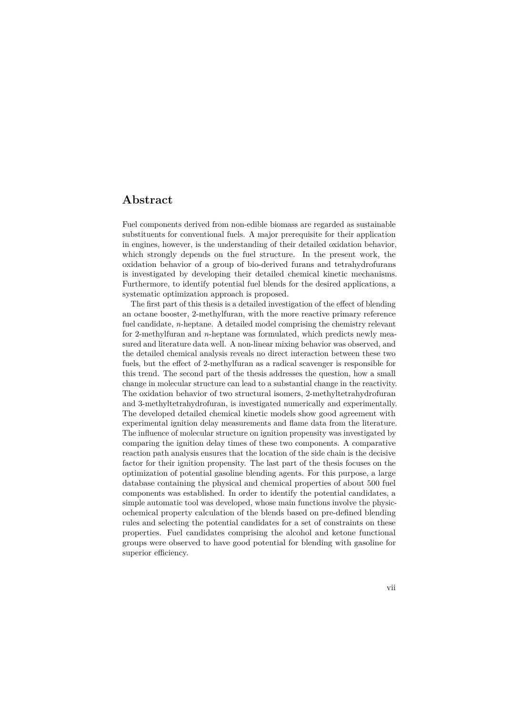## **Abstract**

Fuel components derived from non-edible biomass are regarded as sustainable substituents for conventional fuels. A major prerequisite for their application in engines, however, is the understanding of their detailed oxidation behavior, which strongly depends on the fuel structure. In the present work, the oxidation behavior of a group of bio-derived furans and tetrahydrofurans is investigated by developing their detailed chemical kinetic mechanisms. Furthermore, to identify potential fuel blends for the desired applications, a systematic optimization approach is proposed.

The first part of this thesis is a detailed investigation of the effect of blending an octane booster, 2-methylfuran, with the more reactive primary reference fuel candidate, *n*-heptane. A detailed model comprising the chemistry relevant for 2-methylfuran and *n*-heptane was formulated, which predicts newly measured and literature data well. A non-linear mixing behavior was observed, and the detailed chemical analysis reveals no direct interaction between these two fuels, but the effect of 2-methylfuran as a radical scavenger is responsible for this trend. The second part of the thesis addresses the question, how a small change in molecular structure can lead to a substantial change in the reactivity. The oxidation behavior of two structural isomers, 2-methyltetrahydrofuran and 3-methyltetrahydrofuran, is investigated numerically and experimentally. The developed detailed chemical kinetic models show good agreement with experimental ignition delay measurements and flame data from the literature. The influence of molecular structure on ignition propensity was investigated by comparing the ignition delay times of these two components. A comparative reaction path analysis ensures that the location of the side chain is the decisive factor for their ignition propensity. The last part of the thesis focuses on the optimization of potential gasoline blending agents. For this purpose, a large database containing the physical and chemical properties of about 500 fuel components was established. In order to identify the potential candidates, a simple automatic tool was developed, whose main functions involve the physicochemical property calculation of the blends based on pre-defined blending rules and selecting the potential candidates for a set of constraints on these properties. Fuel candidates comprising the alcohol and ketone functional groups were observed to have good potential for blending with gasoline for superior efficiency.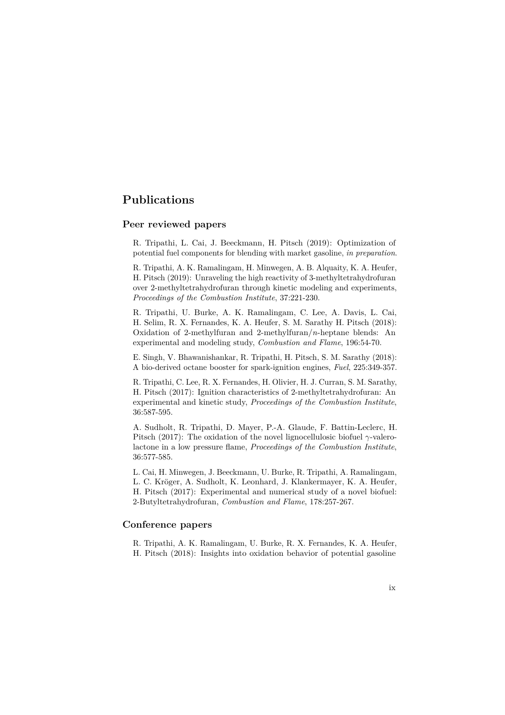## **Publications**

#### **Peer reviewed papers**

R. Tripathi, L. Cai, J. Beeckmann, H. Pitsch (2019): Optimization of potential fuel components for blending with market gasoline, *in preparation*.

R. Tripathi, A. K. Ramalingam, H. Minwegen, A. B. Alquaity, K. A. Heufer, H. Pitsch (2019): Unraveling the high reactivity of 3-methyltetrahydrofuran over 2-methyltetrahydrofuran through kinetic modeling and experiments, *Proceedings of the Combustion Institute*, 37:221-230.

R. Tripathi, U. Burke, A. K. Ramalingam, C. Lee, A. Davis, L. Cai, H. Selim, R. X. Fernandes, K. A. Heufer, S. M. Sarathy H. Pitsch (2018): Oxidation of 2-methylfuran and 2-methylfuran/*n*-heptane blends: An experimental and modeling study, *Combustion and Flame*, 196:54-70.

E. Singh, V. Bhawanishankar, R. Tripathi, H. Pitsch, S. M. Sarathy (2018): A bio-derived octane booster for spark-ignition engines, *Fuel*, 225:349-357.

R. Tripathi, C. Lee, R. X. Fernandes, H. Olivier, H. J. Curran, S. M. Sarathy, H. Pitsch (2017): Ignition characteristics of 2-methyltetrahydrofuran: An experimental and kinetic study, *Proceedings of the Combustion Institute*, 36:587-595.

A. Sudholt, R. Tripathi, D. Mayer, P.-A. Glaude, F. Battin-Leclerc, H. Pitsch (2017): The oxidation of the novel lignocellulosic biofuel *γ*-valerolactone in a low pressure flame, *Proceedings of the Combustion Institute*, 36:577-585.

L. Cai, H. Minwegen, J. Beeckmann, U. Burke, R. Tripathi, A. Ramalingam, L. C. Kröger, A. Sudholt, K. Leonhard, J. Klankermayer, K. A. Heufer, H. Pitsch (2017): Experimental and numerical study of a novel biofuel: 2-Butyltetrahydrofuran, *Combustion and Flame*, 178:257-267.

### **Conference papers**

R. Tripathi, A. K. Ramalingam, U. Burke, R. X. Fernandes, K. A. Heufer, H. Pitsch (2018): Insights into oxidation behavior of potential gasoline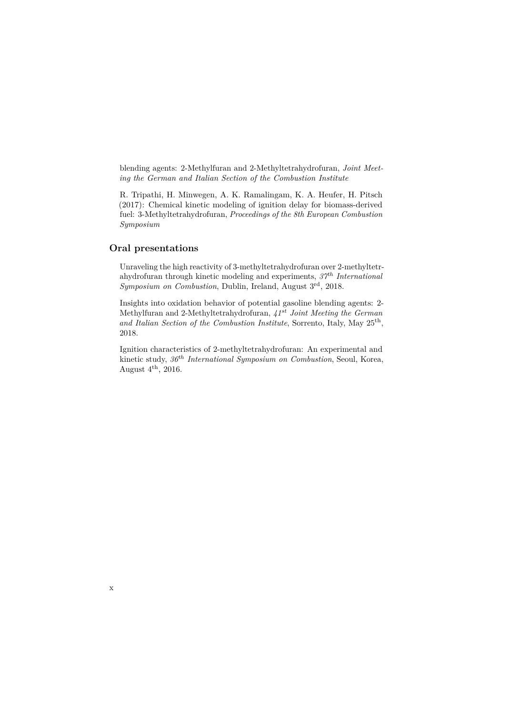blending agents: 2-Methylfuran and 2-Methyltetrahydrofuran, *Joint Meeting the German and Italian Section of the Combustion Institute*

R. Tripathi, H. Minwegen, A. K. Ramalingam, K. A. Heufer, H. Pitsch (2017): Chemical kinetic modeling of ignition delay for biomass-derived fuel: 3-Methyltetrahydrofuran, *Proceedings of the 8th European Combustion Symposium*

### **Oral presentations**

Unraveling the high reactivity of 3-methyltetrahydrofuran over 2-methyltetrahydrofuran through kinetic modeling and experiments, *37th International Symposium on Combustion*, Dublin, Ireland, August 3rd, 2018.

Insights into oxidation behavior of potential gasoline blending agents: 2- Methylfuran and 2-Methyltetrahydrofuran, *41st Joint Meeting the German and Italian Section of the Combustion Institute*, Sorrento, Italy, May 25th, 2018.

Ignition characteristics of 2-methyltetrahydrofuran: An experimental and kinetic study, *36th International Symposium on Combustion*, Seoul, Korea, August  $4^{\text{th}}$ , 2016.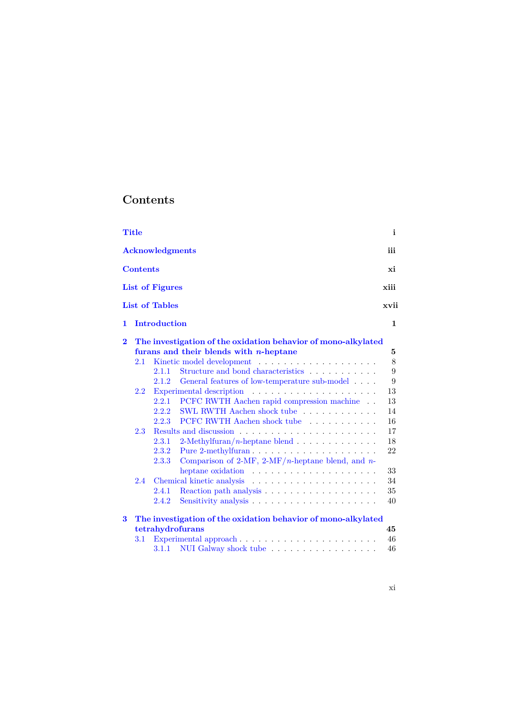# **Contents**

|          | Title                                                         |                        |                                                                      | $\mathbf{i}$ |  |
|----------|---------------------------------------------------------------|------------------------|----------------------------------------------------------------------|--------------|--|
|          |                                                               | <b>Acknowledgments</b> |                                                                      | iii          |  |
|          | <b>Contents</b>                                               |                        |                                                                      | хi           |  |
|          |                                                               | List of Figures        |                                                                      | xiii         |  |
|          |                                                               | <b>List of Tables</b>  |                                                                      | xvii         |  |
| 1        |                                                               | <b>Introduction</b>    |                                                                      | $\mathbf{1}$ |  |
| $\bf{2}$ | The investigation of the oxidation behavior of mono-alkylated |                        |                                                                      |              |  |
|          |                                                               |                        | furans and their blends with $n$ -heptane                            | 5            |  |
|          | 2.1                                                           |                        |                                                                      | 8            |  |
|          |                                                               | 2.1.1                  | Structure and bond characteristics $\ldots \ldots \ldots \ldots$     | 9            |  |
|          |                                                               | 2.1.2                  | General features of low-temperature sub-model                        | 9            |  |
|          | $2.2\,$                                                       |                        |                                                                      | 13           |  |
|          |                                                               | 2.2.1                  | PCFC RWTH Aachen rapid compression machine                           | 13           |  |
|          |                                                               | 2.2.2                  | SWL RWTH Aachen shock tube                                           | 14           |  |
|          |                                                               | 2.2.3                  | PCFC RWTH Aachen shock tube                                          | 16           |  |
|          | 2.3                                                           |                        |                                                                      | 17           |  |
|          |                                                               | 2.3.1                  | 2-Methylfuran/ <i>n</i> -heptane blend $\ldots \ldots \ldots \ldots$ | 18           |  |
|          |                                                               | 2.3.2                  |                                                                      | 22           |  |
|          |                                                               | 2.3.3                  | Comparison of 2-MF, 2-MF/n-heptane blend, and n-                     |              |  |
|          |                                                               |                        | heptane oxidation $\dots \dots \dots \dots \dots \dots \dots$        | 33           |  |
|          | 2.4                                                           |                        | Chemical kinetic analysis                                            | 34           |  |
|          |                                                               | 2.4.1                  |                                                                      | 35           |  |
|          |                                                               | 2.4.2                  | Sensitivity analysis                                                 | 40           |  |
| 3        |                                                               |                        | The investigation of the oxidation behavior of mono-alkylated        |              |  |
|          |                                                               |                        | tetrahydrofurans                                                     | 45           |  |
|          | $3.1\,$                                                       |                        | Experimental approach                                                | 46           |  |
|          |                                                               | 3.1.1                  | NUI Galway shock tube                                                | 46           |  |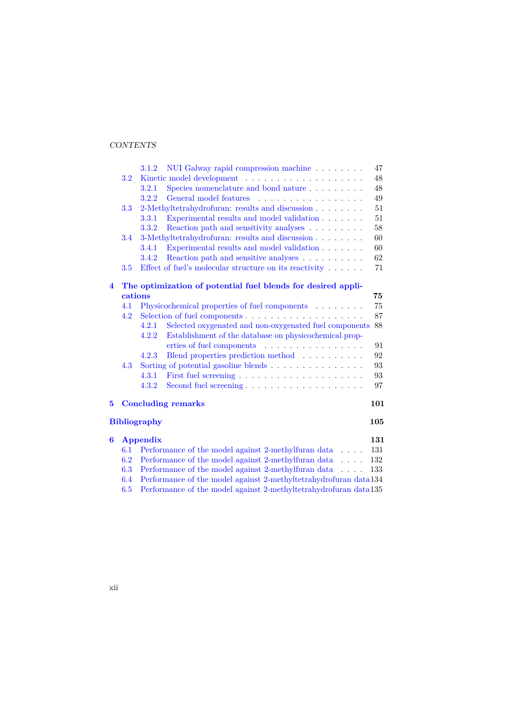#### CONTENTS

|   |         | 3.1.2<br>NUI Galway rapid compression machine                                 | 47     |  |
|---|---------|-------------------------------------------------------------------------------|--------|--|
|   | 3.2     |                                                                               | $48\,$ |  |
|   |         | 3.2.1                                                                         | 48     |  |
|   |         | 3.2.2<br>General model features                                               | 49     |  |
|   | 3.3     | 2-Methyltetrahydrofuran: results and discussion                               | 51     |  |
|   |         | Experimental results and model validation<br>3.3.1                            | 51     |  |
|   |         | Reaction path and sensitivity analyses<br>3.3.2                               | 58     |  |
|   | 3.4     | 3-Methyltetrahydrofuran: results and discussion                               | 60     |  |
|   |         | Experimental results and model validation $.\,.\,.\,.\,.\,.\,.\,.\,$<br>3.4.1 | 60     |  |
|   |         | Reaction path and sensitive analyses<br>3.4.2                                 | 62     |  |
|   | 3.5     | Effect of fuel's molecular structure on its reactivity $\dots$ .              | 71     |  |
| 4 |         | The optimization of potential fuel blends for desired appli-                  |        |  |
|   | cations |                                                                               | 75     |  |
|   | 4.1     | Physicochemical properties of fuel components                                 | 75     |  |
|   | 4.2     |                                                                               | 87     |  |
|   |         | Selected oxygenated and non-oxygenated fuel components<br>4.2.1               | 88     |  |
|   |         | Establishment of the database on physicochemical prop-<br>4.2.2               |        |  |
|   |         | erties of fuel components                                                     | 91     |  |
|   |         | 4.2.3<br>Blend properties prediction method                                   | 92     |  |
|   | 4.3     | Sorting of potential gasoline blends                                          | 93     |  |
|   |         | 4.3.1                                                                         | 93     |  |
|   |         | 4.3.2                                                                         | 97     |  |
| 5 |         | <b>Concluding remarks</b>                                                     | 101    |  |
|   |         |                                                                               |        |  |
|   |         | <b>Bibliography</b>                                                           | 105    |  |
| 6 |         | Appendix                                                                      | 131    |  |
|   | 6.1     | Performance of the model against 2-methylfuran data                           | 131    |  |
|   | 6.2     | Performance of the model against 2-methylfuran data                           | 132    |  |
|   | 6.3     | Performance of the model against 2-methylfuran data                           | 133    |  |
|   | 6.4     | Performance of the model against 2-methyltetrahydrofuran data134              |        |  |
|   | 6.5     | Performance of the model against 2-methyltetrahydrofuran data135              |        |  |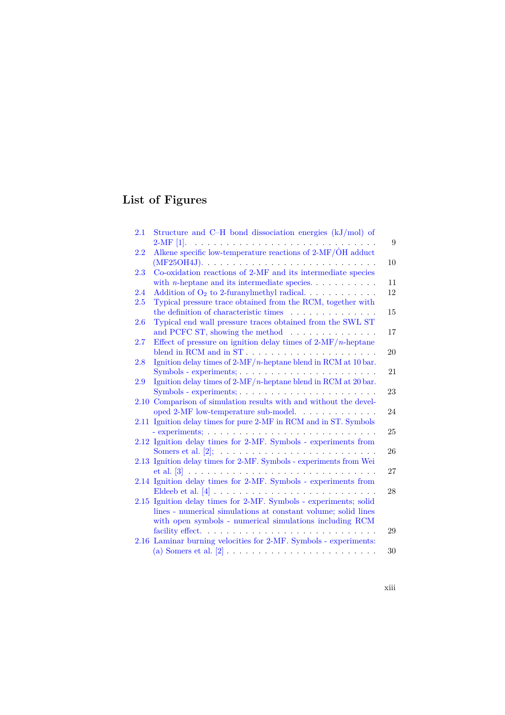# **List of Figures**

| $2.1\,$ | Structure and C-H bond dissociation energies (kJ/mol) of                                                |
|---------|---------------------------------------------------------------------------------------------------------|
|         |                                                                                                         |
| 2.2     | Alkene specific low-temperature reactions of $2-MF/\dot{O}H$ adduct                                     |
|         | $(MF25OH4J).$ $\ldots$ $\ldots$ $\ldots$ $\ldots$ $\ldots$ $\ldots$ $\ldots$ $\ldots$ $\ldots$ $\ldots$ |
| 2.3     | Co-oxidation reactions of 2-MF and its intermediate species                                             |
|         | with <i>n</i> -heptane and its intermediate species                                                     |
| 2.4     | Addition of $O_2$ to 2-furanylmethyl radical. $\ldots \ldots \ldots$                                    |
| $2.5\,$ | Typical pressure trace obtained from the RCM, together with                                             |
|         | the definition of characteristic times                                                                  |
| 2.6     | Typical end wall pressure traces obtained from the SWL ST                                               |
|         | and PCFC ST, showing the method $\dots \dots \dots \dots$                                               |
| $2.7\,$ | Effect of pressure on ignition delay times of $2-MF/n$ -heptane                                         |
|         |                                                                                                         |
| 2.8     | Ignition delay times of $2-MF/n$ -heptane blend in RCM at 10 bar.                                       |
|         | $Symbols - experiments; \ldots, \ldots, \ldots, \ldots, \ldots, \ldots, \ldots$                         |
| 2.9     | Ignition delay times of $2-MF/n$ -heptane blend in RCM at 20 bar.                                       |
|         | $Symbols - experiments; \ldots, \ldots, \ldots, \ldots, \ldots, \ldots, \ldots$                         |
| 2.10    | Comparison of simulation results with and without the devel-                                            |
|         | oped 2-MF low-temperature sub-model.                                                                    |
|         | 2.11 Ignition delay times for pure 2-MF in RCM and in ST. Symbols                                       |
|         | - experiments; $\ldots \ldots \ldots \ldots \ldots \ldots \ldots \ldots \ldots \ldots \ldots$           |
|         | 2.12 Ignition delay times for 2-MF. Symbols - experiments from                                          |
|         |                                                                                                         |
|         | 2.13 Ignition delay times for 2-MF. Symbols - experiments from Wei                                      |
|         |                                                                                                         |
|         | 2.14 Ignition delay times for 2-MF. Symbols - experiments from                                          |
|         |                                                                                                         |
|         | 2.15 Ignition delay times for 2-MF. Symbols - experiments; solid                                        |
|         | lines - numerical simulations at constant volume; solid lines                                           |
|         | with open symbols - numerical simulations including RCM                                                 |
|         |                                                                                                         |
|         | 2.16 Laminar burning velocities for 2-MF. Symbols - experiments:                                        |
|         |                                                                                                         |
|         |                                                                                                         |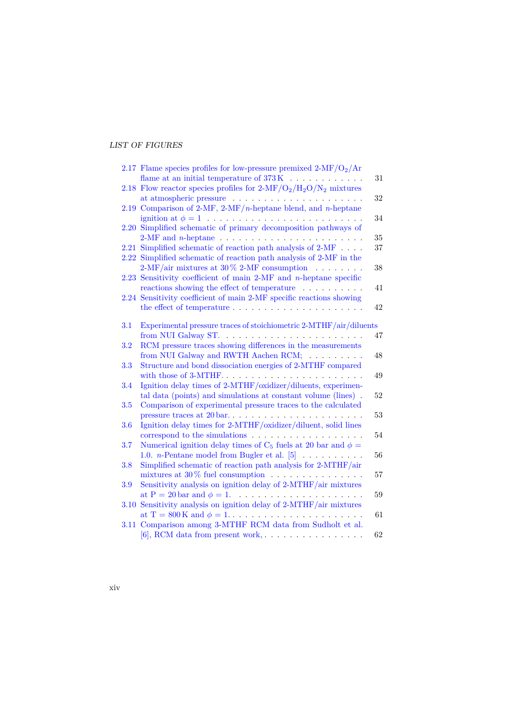#### LIST OF FIGURES

|      | 2.17 Flame species profiles for low-pressure premixed $2-MF/O2/Ar$                                                                                     | 31 |
|------|--------------------------------------------------------------------------------------------------------------------------------------------------------|----|
|      | 2.18 Flow reactor species profiles for $2-MF/O_2/H_2O/N_2$ mixtures                                                                                    | 32 |
|      | 2.19 Comparison of 2-MF, 2-MF/n-heptane blend, and n-heptane                                                                                           | 34 |
|      | 2.20 Simplified schematic of primary decomposition pathways of<br>2-MF and <i>n</i> -heptane $\ldots \ldots \ldots \ldots \ldots \ldots \ldots \ldots$ | 35 |
|      | 2.21 Simplified schematic of reaction path analysis of 2-MF<br>2.22 Simplified schematic of reaction path analysis of 2-MF in the                      | 37 |
|      | 2-MF/air mixtures at 30 $\%$ 2-MF consumption<br>2.23 Sensitivity coefficient of main 2-MF and $n$ -heptane specific                                   | 38 |
|      | reactions showing the effect of temperature<br>2.24 Sensitivity coefficient of main 2-MF specific reactions showing                                    | 41 |
|      |                                                                                                                                                        | 42 |
| 3.1  | Experimental pressure traces of stoichiometric 2-MTHF/air/diluents                                                                                     | 47 |
| 3.2  | RCM pressure traces showing differences in the measurements<br>from NUI Galway and RWTH Aachen RCM;                                                    | 48 |
| 3.3  | Structure and bond dissociation energies of 2-MTHF compared<br>with those of 3-MTHF                                                                    | 49 |
| 3.4  | Ignition delay times of 2-MTHF/oxidizer/diluents, experimen-<br>tal data (points) and simulations at constant volume (lines).                          | 52 |
| 3.5  | Comparison of experimental pressure traces to the calculated<br>pressure traces at 20 bar                                                              | 53 |
| 3.6  | Ignition delay times for 2-MTHF/oxidizer/diluent, solid lines<br>correspond to the simulations $\ldots \ldots \ldots \ldots \ldots \ldots$             | 54 |
| 3.7  | Numerical ignition delay times of C <sub>5</sub> fuels at 20 bar and $\phi =$<br>1.0. <i>n</i> -Pentane model from Bugler et al. $[5]$                 | 56 |
| 3.8  | Simplified schematic of reaction path analysis for 2-MTHF/air<br>mixtures at $30\%$ fuel consumption                                                   | 57 |
| 3.9  | Sensitivity analysis on ignition delay of 2-MTHF/air mixtures                                                                                          | 59 |
| 3.10 | Sensitivity analysis on ignition delay of 2-MTHF/air mixtures                                                                                          | 61 |
|      | 3.11 Comparison among 3-MTHF RCM data from Sudholt et al.<br>$[6]$ , RCM data from present work,                                                       | 62 |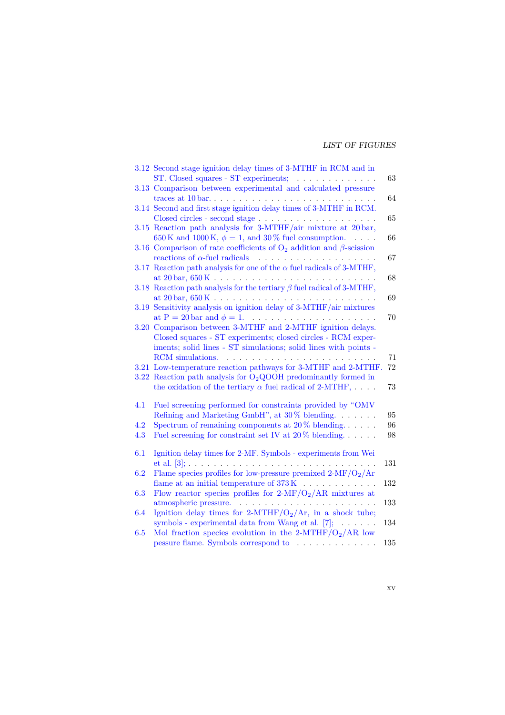#### LIST OF FIGURES

|            | 3.12 Second stage ignition delay times of 3-MTHF in RCM and in<br>ST. Closed squares - ST experiments; $\ldots \ldots \ldots \ldots$                                                                | 63       |
|------------|-----------------------------------------------------------------------------------------------------------------------------------------------------------------------------------------------------|----------|
|            | 3.13 Comparison between experimental and calculated pressure<br>traces at $10 \text{ bar.} \dots \dots \dots \dots \dots \dots \dots \dots \dots \dots \dots$                                       | 64       |
|            | 3.14 Second and first stage ignition delay times of 3-MTHF in RCM.                                                                                                                                  | 65       |
|            | 3.15 Reaction path analysis for 3-MTHF/air mixture at 20 bar,<br>650 K and 1000 K, $\phi = 1$ , and 30 % fuel consumption.                                                                          | 66       |
|            | 3.16 Comparison of rate coefficients of $O_2$ addition and $\beta$ -scission<br>reactions of $\alpha$ -fuel radicals<br>.                                                                           | 67       |
|            | 3.17 Reaction path analysis for one of the $\alpha$ fuel radicals of 3-MTHF,                                                                                                                        | 68       |
|            | 3.18 Reaction path analysis for the tertiary $\beta$ fuel radical of 3-MTHF,<br>at $20 \text{ bar}, 650 \text{ K}. \ldots \ldots \ldots \ldots \ldots \ldots \ldots \ldots \ldots$                  | 69       |
| 3.19       | Sensitivity analysis on ignition delay of $3\text{-} \mathrm{MTHF}/\mathrm{air}$ mixtures                                                                                                           | 70       |
|            | 3.20 Comparison between 3-MTHF and 2-MTHF ignition delays.<br>Closed squares - ST experiments; closed circles - RCM exper-                                                                          |          |
|            | iments; solid lines - ST simulations; solid lines with points -                                                                                                                                     | 71       |
|            | 3.21 Low-temperature reaction pathways for 3-MTHF and 2-MTHF.<br>3.22 Reaction path analysis for $O2QOOH$ predominantly formed in<br>the oxidation of the tertiary $\alpha$ fuel radical of 2-MTHF, | 72<br>73 |
| 4.1        | Fuel screening performed for constraints provided by "OMV<br>Refining and Marketing GmbH", at $30\%$ blending. $\dots \dots$                                                                        | 95       |
| 4.2<br>4.3 | Spectrum of remaining components at $20\%$ blending<br>Fuel screening for constraint set IV at $20\%$ blending                                                                                      | 96<br>98 |
| 6.1        | Ignition delay times for 2-MF. Symbols - experiments from Wei                                                                                                                                       | 131      |
| 6.2        | Flame species profiles for low-pressure premixed $2-MF/O_2/Ar$                                                                                                                                      | 132      |
| 6.3        | Flow reactor species profiles for $2-MF/O_2/AR$ mixtures at                                                                                                                                         |          |
| 6.4        | Ignition delay times for 2-MTHF/ $O_2/Ar$ , in a shock tube;                                                                                                                                        | 133      |
| 6.5        | symbols - experimental data from Wang et al. $[7]$ ; $\ldots$ .<br>Mol fraction species evolution in the 2-MTHF/ $O_2/AR$ low                                                                       | 134      |
|            | $\label{eq:3} \text{pressure flame. Symbols correspond to}\quad\ldots\quad\ldots\quad\ldots\ .$                                                                                                     | 135      |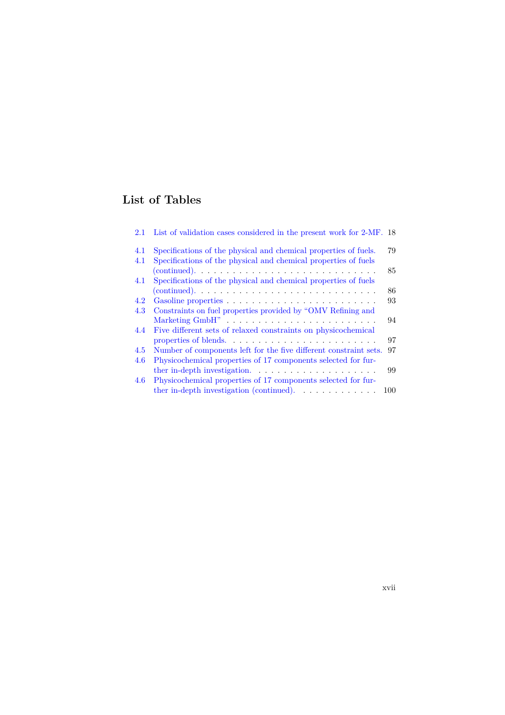# **List of Tables**

| 2.1 | List of validation cases considered in the present work for 2-MF. 18   |     |
|-----|------------------------------------------------------------------------|-----|
| 4.1 | Specifications of the physical and chemical properties of fuels.       | 79  |
| 4.1 | Specifications of the physical and chemical properties of fuels        |     |
|     |                                                                        | 85  |
| 4.1 | Specifications of the physical and chemical properties of fuels        |     |
|     |                                                                        | 86  |
| 4.2 |                                                                        | 93  |
| 4.3 | Constraints on fuel properties provided by "OMV Refining and           |     |
|     | Marketing GmbH"                                                        | 94  |
| 4.4 | Five different sets of relaxed constraints on physicochemical          |     |
|     | properties of blends                                                   | 97  |
| 4.5 | Number of components left for the five different constraint sets.      | 97  |
| 4.6 | Physicochemical properties of 17 components selected for fur-          |     |
|     |                                                                        | 99  |
| 4.6 | Physicochemical properties of 17 components selected for fur-          |     |
|     | ther in-depth investigation (continued). $\ldots \ldots \ldots \ldots$ | 100 |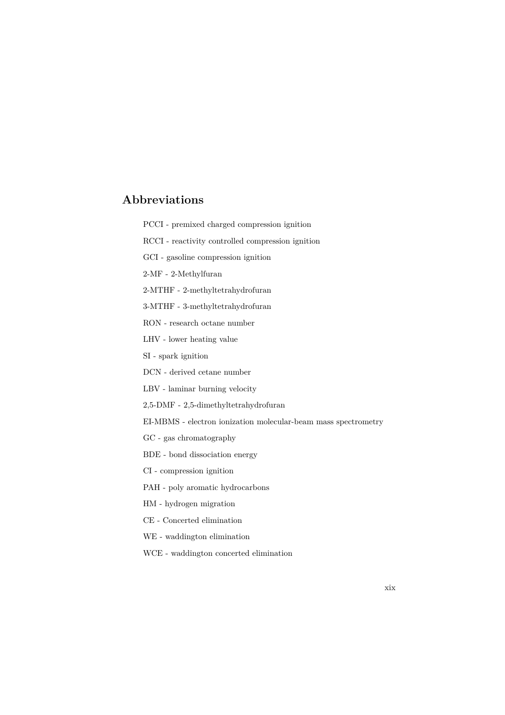## **Abbreviations**

- PCCI premixed charged compression ignition
- RCCI reactivity controlled compression ignition
- GCI gasoline compression ignition
- 2-MF 2-Methylfuran
- 2-MTHF 2-methyltetrahydrofuran
- 3-MTHF 3-methyltetrahydrofuran
- RON research octane number
- LHV lower heating value
- SI spark ignition
- DCN derived cetane number
- LBV laminar burning velocity
- 2,5-DMF 2,5-dimethyltetrahydrofuran
- EI-MBMS electron ionization molecular-beam mass spectrometry
- GC gas chromatography
- BDE bond dissociation energy
- CI compression ignition
- PAH poly aromatic hydrocarbons
- HM hydrogen migration
- CE Concerted elimination
- WE waddington elimination
- WCE waddington concerted elimination